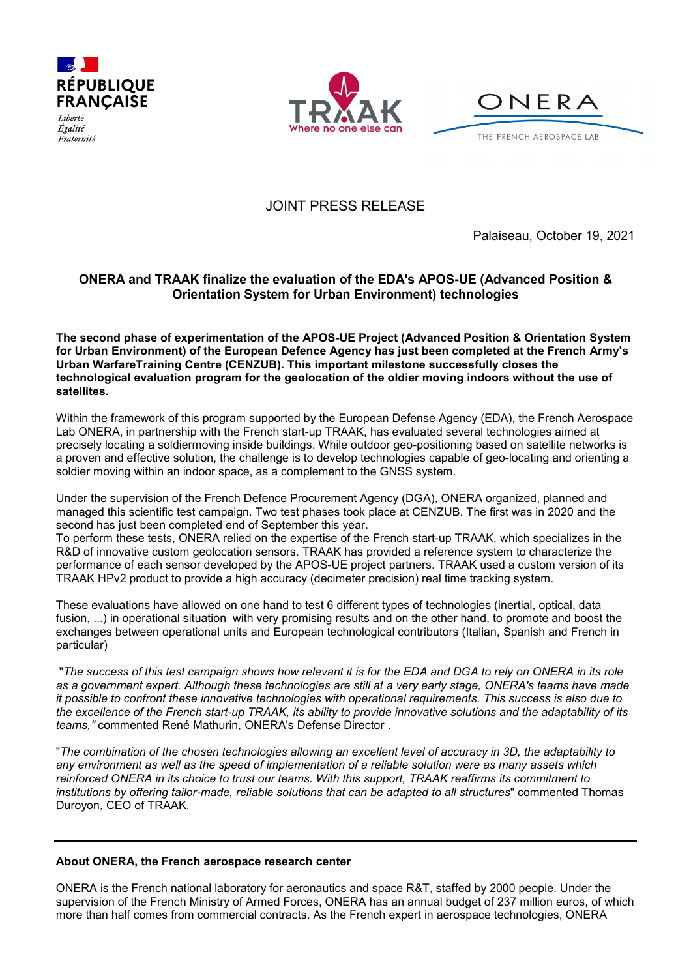

Égalité Fraternité





JOINT PRESS RELEASE

Palaiseau, October 19, 2021

## **ONERA and TRAAK finalize the evaluation of the EDA's APOS-UE (Advanced Position & Orientation System for Urban Environment) technologies**

**The second phase of experimentation of the APOS-UE Project (Advanced Position & Orientation System for Urban Environment) of the European Defence Agency has just been completed at the French Army's Urban WarfareTraining Centre (CENZUB). This important milestone successfully closes the technological evaluation program for the geolocation of the oldier moving indoors without the use of satellites.**

Within the framework of this program supported by the European Defense Agency (EDA), the French Aerospace Lab ONERA, in partnership with the French start-up TRAAK, has evaluated several technologies aimed at precisely locating a soldiermoving inside buildings. While outdoor geo-positioning based on satellite networks is a proven and effective solution, the challenge is to develop technologies capable of geo-locating and orienting a soldier moving within an indoor space, as a complement to the GNSS system.

Under the supervision of the French Defence Procurement Agency (DGA), ONERA organized, planned and managed this scientific test campaign. Two test phases took place at CENZUB. The first was in 2020 and the second has just been completed end of September this year.

To perform these tests, ONERA relied on the expertise of the French start-up TRAAK, which specializes in the R&D of innovative custom geolocation sensors. TRAAK has provided a reference system to characterize the performance of each sensor developed by the APOS-UE project partners. TRAAK used a custom version of its TRAAK HPv2 product to provide a high accuracy (decimeter precision) real time tracking system.

These evaluations have allowed on one hand to test 6 different types of technologies (inertial, optical, data fusion, ...) in operational situation with very promising results and on the other hand, to promote and boost the exchanges between operational units and European technological contributors (Italian, Spanish and French in particular)

"*The success of this test campaign shows how relevant it is for the EDA and DGA to rely on ONERA in its role as a government expert. Although these technologies are still at a very early stage, ONERA's teams have made it possible to confront these innovative technologies with operational requirements. This success is also due to the excellence of the French start-up TRAAK, its ability to provide innovative solutions and the adaptability of its teams,"* commented René Mathurin, ONERA's Defense Director .

"*The combination of the chosen technologies allowing an excellent level of accuracy in 3D, the adaptability to any environment as well as the speed of implementation of a reliable solution were as many assets which reinforced ONERA in its choice to trust our teams. With this support, TRAAK reaffirms its commitment to institutions by offering tailor-made, reliable solutions that can be adapted to all structures*" commented Thomas Duroyon, CEO of TRAAK.

## **About ONERA, the French aerospace research center**

ONERA is the French national laboratory for aeronautics and space R&T, staffed by 2000 people. Under the supervision of the French Ministry of Armed Forces, ONERA has an annual budget of 237 million euros, of which more than half comes from commercial contracts. As the French expert in aerospace technologies, ONERA